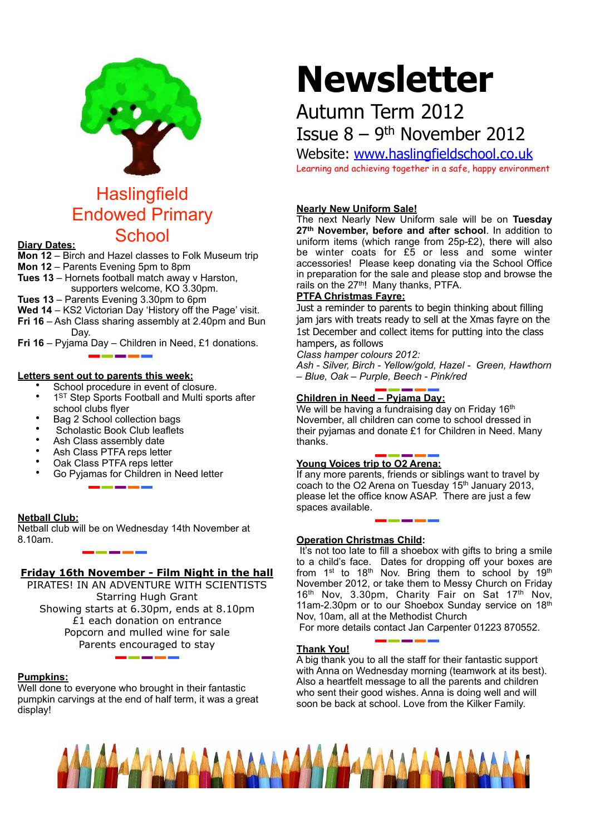

# **Haslingfield** Endowed Primary School **Diary Dates:**

**Mon 12** – Birch and Hazel classes to Folk Museum trip

- **Mon 12** Parents Evening 5pm to 8pm
- **Tues 13** Hornets football match away v Harston, supporters welcome, KO 3.30pm.
- **Tues 13** Parents Evening 3.30pm to 6pm
- **Wed 14** KS2 Victorian Day 'History off the Page' visit.
- **Fri 16** Ash Class sharing assembly at 2.40pm and Bun Day.
- **Fri 16**  Pyjama Day Children in Need, £1 donations.

#### **Letters sent out to parents this week:**

- School procedure in event of closure.
- 1<sup>ST</sup> Step Sports Football and Multi sports after school clubs flyer
- Bag 2 School collection bags
- Scholastic Book Club leaflets
- Ash Class assembly date
- Ash Class PTFA reps letter
- Oak Class PTFA reps letter
- Go Pyjamas for Children in Need letter

#### **Netball Club:**

Netball club will be on Wednesday 14th November at 8.10am.

#### **Friday 16th November - Film Night in the hall**

PIRATES! IN AN ADVENTURE WITH SCIENTISTS Starring Hugh Grant Showing starts at 6.30pm, ends at 8.10pm £1 each donation on entrance Popcorn and mulled wine for sale Parents encouraged to stay

#### **Pumpkins:**

Well done to everyone who brought in their fantastic pumpkin carvings at the end of half term, it was a great display!

# **Newsletter**

## Autumn Term 2012 Issue  $8 - 9$ <sup>th</sup> November 2012

Website: [www.haslingfieldschool.co.uk](http://www.haslingfieldschool.co.uk)

Learning and achieving together in a safe, happy environment

#### **Nearly New Uniform Sale!**

The next Nearly New Uniform sale will be on **Tuesday 27th November, before and after school**. In addition to uniform items (which range from 25p-£2), there will also be winter coats for £5 or less and some winter accessories! Please keep donating via the School Office in preparation for the sale and please stop and browse the rails on the 27<sup>th</sup>! Many thanks, PTFA.

#### **PTFA Christmas Fayre:**

Just a reminder to parents to begin thinking about filling jam jars with treats ready to sell at the Xmas fayre on the 1st December and collect items for putting into the class hampers, as follows

*Class hamper colours 2012:*

*Ash - Silver, Birch - Yellow/gold, Hazel - Green, Hawthorn – Blue, Oak – Purple, Beech - Pink/red*

### **Children in Need – Pyjama Day:**

We will be having a fundraising day on Friday 16<sup>th</sup> November, all children can come to school dressed in their pyjamas and donate £1 for Children in Need. Many thanks.

#### **Young Voices trip to O2 Arena:**

If any more parents, friends or siblings want to travel by coach to the O2 Arena on Tuesday 15<sup>th</sup> January 2013, please let the office know ASAP. There are just a few spaces available.

#### **Operation Christmas Child:**

It's not too late to fill a shoebox with gifts to bring a smile to a child's face. Dates for dropping off your boxes are from 1<sup>st</sup> to 18<sup>th</sup> Nov. Bring them to school by 19<sup>th</sup> November 2012, or take them to Messy Church on Friday 16<sup>th</sup> Nov, 3.30pm, Charity Fair on Sat 17<sup>th</sup> Nov, 11am-2.30pm or to our Shoebox Sunday service on 18th Nov, 10am, all at the Methodist Church

For more details contact Jan Carpenter 01223 870552.

#### **Thank You!**

A big thank you to all the staff for their fantastic support with Anna on Wednesday morning (teamwork at its best). Also a heartfelt message to all the parents and children who sent their good wishes. Anna is doing well and will soon be back at school. Love from the Kilker Family.